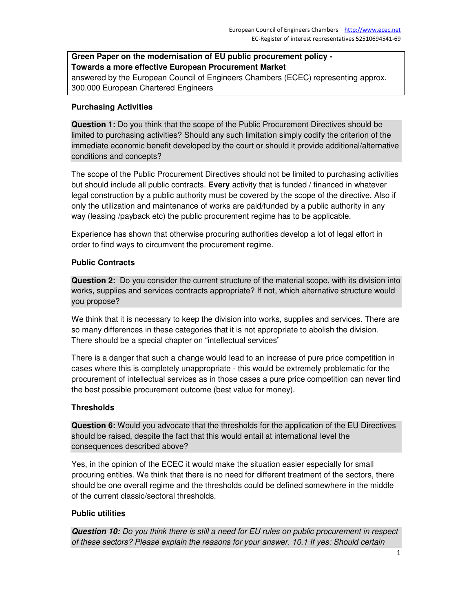# **Green Paper on the modernisation of EU public procurement policy - Towards a more effective European Procurement Market**

answered by the European Council of Engineers Chambers (ECEC) representing approx. 300.000 European Chartered Engineers

## **Purchasing Activities**

**Question 1:** Do you think that the scope of the Public Procurement Directives should be limited to purchasing activities? Should any such limitation simply codify the criterion of the immediate economic benefit developed by the court or should it provide additional/alternative conditions and concepts?

The scope of the Public Procurement Directives should not be limited to purchasing activities but should include all public contracts. **Every** activity that is funded / financed in whatever legal construction by a public authority must be covered by the scope of the directive. Also if only the utilization and maintenance of works are paid/funded by a public authority in any way (leasing /payback etc) the public procurement regime has to be applicable.

Experience has shown that otherwise procuring authorities develop a lot of legal effort in order to find ways to circumvent the procurement regime.

## **Public Contracts**

**Question 2:** Do you consider the current structure of the material scope, with its division into works, supplies and services contracts appropriate? If not, which alternative structure would you propose?

We think that it is necessary to keep the division into works, supplies and services. There are so many differences in these categories that it is not appropriate to abolish the division. There should be a special chapter on "intellectual services"

There is a danger that such a change would lead to an increase of pure price competition in cases where this is completely unappropriate - this would be extremely problematic for the procurement of intellectual services as in those cases a pure price competition can never find the best possible procurement outcome (best value for money).

## **Thresholds**

**Question 6:** Would you advocate that the thresholds for the application of the EU Directives should be raised, despite the fact that this would entail at international level the consequences described above?

Yes, in the opinion of the ECEC it would make the situation easier especially for small procuring entities. We think that there is no need for different treatment of the sectors, there should be one overall regime and the thresholds could be defined somewhere in the middle of the current classic/sectoral thresholds.

# **Public utilities**

**Question 10:** *Do you think there is still a need for EU rules on public procurement in respect of these sectors? Please explain the reasons for your answer. 10.1 If yes: Should certain*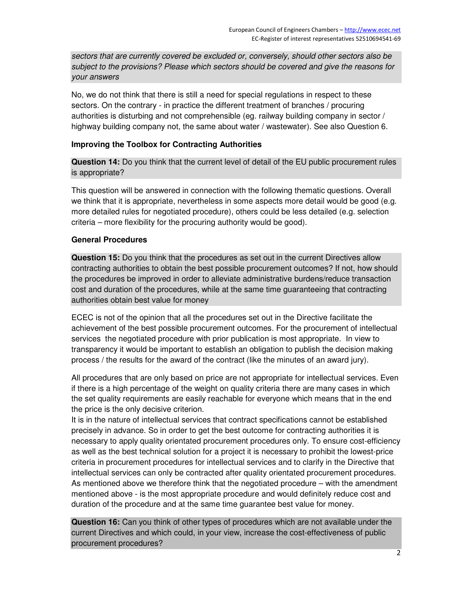*sectors that are currently covered be excluded or, conversely, should other sectors also be subject to the provisions? Please which sectors should be covered and give the reasons for your answers* 

No, we do not think that there is still a need for special regulations in respect to these sectors. On the contrary - in practice the different treatment of branches / procuring authorities is disturbing and not comprehensible (eg. railway building company in sector / highway building company not, the same about water / wastewater). See also Question 6.

## **Improving the Toolbox for Contracting Authorities**

**Question 14:** Do you think that the current level of detail of the EU public procurement rules is appropriate?

This question will be answered in connection with the following thematic questions. Overall we think that it is appropriate, nevertheless in some aspects more detail would be good (e.g. more detailed rules for negotiated procedure), others could be less detailed (e.g. selection criteria – more flexibility for the procuring authority would be good).

## **General Procedures**

**Question 15:** Do you think that the procedures as set out in the current Directives allow contracting authorities to obtain the best possible procurement outcomes? If not, how should the procedures be improved in order to alleviate administrative burdens/reduce transaction cost and duration of the procedures, while at the same time guaranteeing that contracting authorities obtain best value for money

ECEC is not of the opinion that all the procedures set out in the Directive facilitate the achievement of the best possible procurement outcomes. For the procurement of intellectual services the negotiated procedure with prior publication is most appropriate. In view to transparency it would be important to establish an obligation to publish the decision making process / the results for the award of the contract (like the minutes of an award jury).

All procedures that are only based on price are not appropriate for intellectual services. Even if there is a high percentage of the weight on quality criteria there are many cases in which the set quality requirements are easily reachable for everyone which means that in the end the price is the only decisive criterion.

It is in the nature of intellectual services that contract specifications cannot be established precisely in advance. So in order to get the best outcome for contracting authorities it is necessary to apply quality orientated procurement procedures only. To ensure cost-efficiency as well as the best technical solution for a project it is necessary to prohibit the lowest-price criteria in procurement procedures for intellectual services and to clarify in the Directive that intellectual services can only be contracted after quality orientated procurement procedures. As mentioned above we therefore think that the negotiated procedure – with the amendment mentioned above - is the most appropriate procedure and would definitely reduce cost and duration of the procedure and at the same time guarantee best value for money.

**Question 16:** Can you think of other types of procedures which are not available under the current Directives and which could, in your view, increase the cost-effectiveness of public procurement procedures?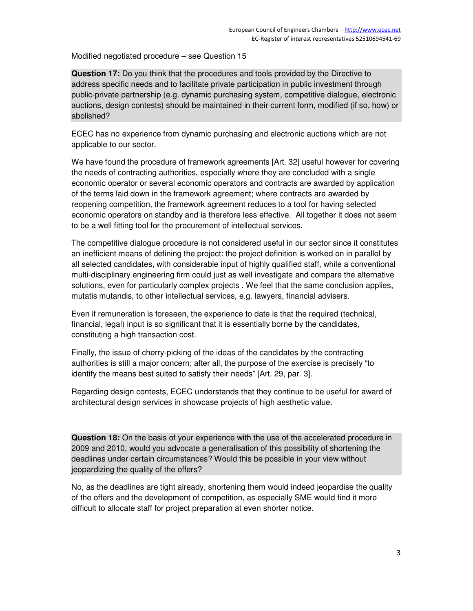Modified negotiated procedure – see Question 15

**Question 17:** Do you think that the procedures and tools provided by the Directive to address specific needs and to facilitate private participation in public investment through public-private partnership (e.g. dynamic purchasing system, competitive dialogue, electronic auctions, design contests) should be maintained in their current form, modified (if so, how) or abolished?

ECEC has no experience from dynamic purchasing and electronic auctions which are not applicable to our sector.

We have found the procedure of framework agreements [Art. 32] useful however for covering the needs of contracting authorities, especially where they are concluded with a single economic operator or several economic operators and contracts are awarded by application of the terms laid down in the framework agreement; where contracts are awarded by reopening competition, the framework agreement reduces to a tool for having selected economic operators on standby and is therefore less effective. All together it does not seem to be a well fitting tool for the procurement of intellectual services.

The competitive dialogue procedure is not considered useful in our sector since it constitutes an inefficient means of defining the project: the project definition is worked on in parallel by all selected candidates, with considerable input of highly qualified staff, while a conventional multi-disciplinary engineering firm could just as well investigate and compare the alternative solutions, even for particularly complex projects . We feel that the same conclusion applies, mutatis mutandis, to other intellectual services, e.g. lawyers, financial advisers.

Even if remuneration is foreseen, the experience to date is that the required (technical, financial, legal) input is so significant that it is essentially borne by the candidates, constituting a high transaction cost.

Finally, the issue of cherry-picking of the ideas of the candidates by the contracting authorities is still a major concern; after all, the purpose of the exercise is precisely "to identify the means best suited to satisfy their needs" [Art. 29, par. 3].

Regarding design contests, ECEC understands that they continue to be useful for award of architectural design services in showcase projects of high aesthetic value.

**Question 18:** On the basis of your experience with the use of the accelerated procedure in 2009 and 2010, would you advocate a generalisation of this possibility of shortening the deadlines under certain circumstances? Would this be possible in your view without jeopardizing the quality of the offers?

No, as the deadlines are tight already, shortening them would indeed jeopardise the quality of the offers and the development of competition, as especially SME would find it more difficult to allocate staff for project preparation at even shorter notice.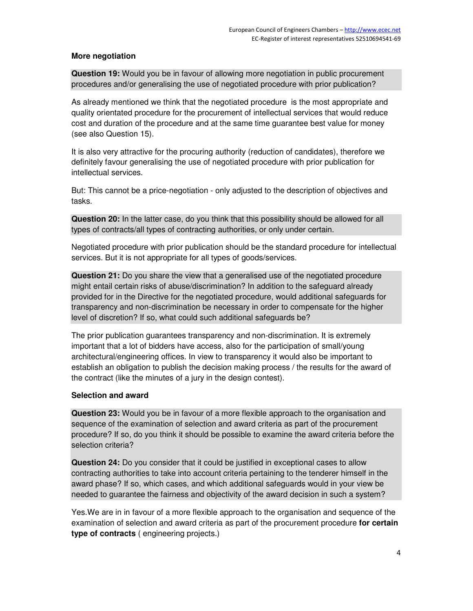## **More negotiation**

**Question 19:** Would you be in favour of allowing more negotiation in public procurement procedures and/or generalising the use of negotiated procedure with prior publication?

As already mentioned we think that the negotiated procedure is the most appropriate and quality orientated procedure for the procurement of intellectual services that would reduce cost and duration of the procedure and at the same time guarantee best value for money (see also Question 15).

It is also very attractive for the procuring authority (reduction of candidates), therefore we definitely favour generalising the use of negotiated procedure with prior publication for intellectual services.

But: This cannot be a price-negotiation - only adjusted to the description of objectives and tasks.

**Question 20:** In the latter case, do you think that this possibility should be allowed for all types of contracts/all types of contracting authorities, or only under certain.

Negotiated procedure with prior publication should be the standard procedure for intellectual services. But it is not appropriate for all types of goods/services.

**Question 21:** Do you share the view that a generalised use of the negotiated procedure might entail certain risks of abuse/discrimination? In addition to the safeguard already provided for in the Directive for the negotiated procedure, would additional safeguards for transparency and non-discrimination be necessary in order to compensate for the higher level of discretion? If so, what could such additional safeguards be?

The prior publication guarantees transparency and non-discrimination. It is extremely important that a lot of bidders have access, also for the participation of small/young architectural/engineering offices. In view to transparency it would also be important to establish an obligation to publish the decision making process / the results for the award of the contract (like the minutes of a jury in the design contest).

#### **Selection and award**

**Question 23:** Would you be in favour of a more flexible approach to the organisation and sequence of the examination of selection and award criteria as part of the procurement procedure? If so, do you think it should be possible to examine the award criteria before the selection criteria?

**Question 24:** Do you consider that it could be justified in exceptional cases to allow contracting authorities to take into account criteria pertaining to the tenderer himself in the award phase? If so, which cases, and which additional safeguards would in your view be needed to guarantee the fairness and objectivity of the award decision in such a system?

Yes.We are in in favour of a more flexible approach to the organisation and sequence of the examination of selection and award criteria as part of the procurement procedure **for certain type of contracts** ( engineering projects.)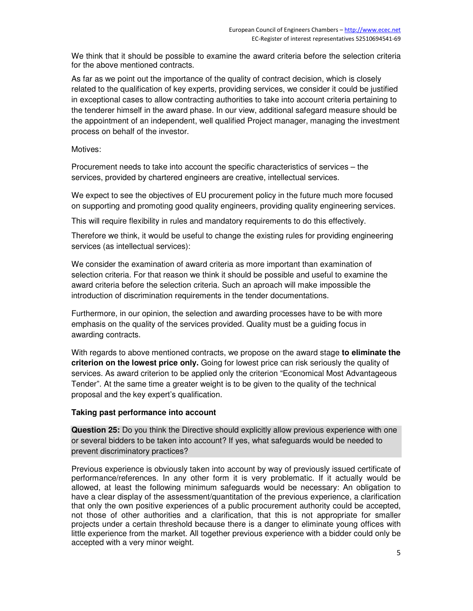We think that it should be possible to examine the award criteria before the selection criteria for the above mentioned contracts.

As far as we point out the importance of the quality of contract decision, which is closely related to the qualification of key experts, providing services, we consider it could be justified in exceptional cases to allow contracting authorities to take into account criteria pertaining to the tenderer himself in the award phase. In our view, additional safegard measure should be the appointment of an independent, well qualified Project manager, managing the investment process on behalf of the investor.

#### Motives:

Procurement needs to take into account the specific characteristics of services – the services, provided by chartered engineers are creative, intellectual services.

We expect to see the objectives of EU procurement policy in the future much more focused on supporting and promoting good quality engineers, providing quality engineering services.

This will require flexibility in rules and mandatory requirements to do this effectively.

Therefore we think, it would be useful to change the existing rules for providing engineering services (as intellectual services):

We consider the examination of award criteria as more important than examination of selection criteria. For that reason we think it should be possible and useful to examine the award criteria before the selection criteria. Such an aproach will make impossible the introduction of discrimination requirements in the tender documentations.

Furthermore, in our opinion, the selection and awarding processes have to be with more emphasis on the quality of the services provided. Quality must be a guiding focus in awarding contracts.

With regards to above mentioned contracts, we propose on the award stage **to eliminate the criterion on the lowest price only.** Going for lowest price can risk seriously the quality of services. As award criterion to be applied only the criterion "Economical Most Advantageous Tender". At the same time a greater weight is to be given to the quality of the technical proposal and the key expert's qualification.

## **Taking past performance into account**

**Question 25:** Do you think the Directive should explicitly allow previous experience with one or several bidders to be taken into account? If yes, what safeguards would be needed to prevent discriminatory practices?

Previous experience is obviously taken into account by way of previously issued certificate of performance/references. In any other form it is very problematic. If it actually would be allowed, at least the following minimum safeguards would be necessary: An obligation to have a clear display of the assessment/quantitation of the previous experience, a clarification that only the own positive experiences of a public procurement authority could be accepted, not those of other authorities and a clarification, that this is not appropriate for smaller projects under a certain threshold because there is a danger to eliminate young offices with little experience from the market. All together previous experience with a bidder could only be accepted with a very minor weight.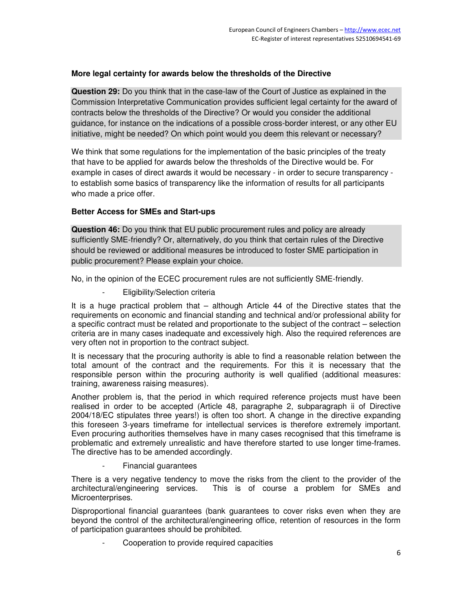## **More legal certainty for awards below the thresholds of the Directive**

**Question 29:** Do you think that in the case-law of the Court of Justice as explained in the Commission Interpretative Communication provides sufficient legal certainty for the award of contracts below the thresholds of the Directive? Or would you consider the additional guidance, for instance on the indications of a possible cross-border interest, or any other EU initiative, might be needed? On which point would you deem this relevant or necessary?

We think that some regulations for the implementation of the basic principles of the treaty that have to be applied for awards below the thresholds of the Directive would be. For example in cases of direct awards it would be necessary - in order to secure transparency to establish some basics of transparency like the information of results for all participants who made a price offer.

## **Better Access for SMEs and Start-ups**

**Question 46:** Do you think that EU public procurement rules and policy are already sufficiently SME-friendly? Or, alternatively, do you think that certain rules of the Directive should be reviewed or additional measures be introduced to foster SME participation in public procurement? Please explain your choice.

No, in the opinion of the ECEC procurement rules are not sufficiently SME-friendly.

Eligibility/Selection criteria

It is a huge practical problem that – although Article 44 of the Directive states that the requirements on economic and financial standing and technical and/or professional ability for a specific contract must be related and proportionate to the subject of the contract – selection criteria are in many cases inadequate and excessively high. Also the required references are very often not in proportion to the contract subject.

It is necessary that the procuring authority is able to find a reasonable relation between the total amount of the contract and the requirements. For this it is necessary that the responsible person within the procuring authority is well qualified (additional measures: training, awareness raising measures).

Another problem is, that the period in which required reference projects must have been realised in order to be accepted (Article 48, paragraphe 2, subparagraph ii of Directive 2004/18/EC stipulates three years!) is often too short. A change in the directive expanding this foreseen 3-years timeframe for intellectual services is therefore extremely important. Even procuring authorities themselves have in many cases recognised that this timeframe is problematic and extremely unrealistic and have therefore started to use longer time-frames. The directive has to be amended accordingly.

- Financial guarantees

There is a very negative tendency to move the risks from the client to the provider of the architectural/engineering services. This is of course a problem for SMEs and This is of course a problem for SMEs and Microenterprises.

Disproportional financial guarantees (bank guarantees to cover risks even when they are beyond the control of the architectural/engineering office, retention of resources in the form of participation guarantees should be prohibited.

Cooperation to provide required capacities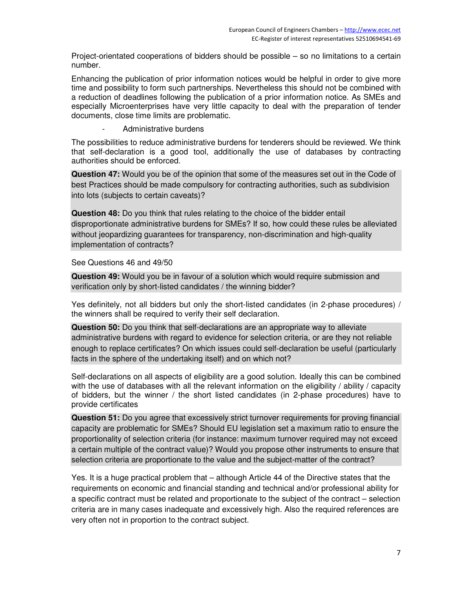Project-orientated cooperations of bidders should be possible – so no limitations to a certain number.

Enhancing the publication of prior information notices would be helpful in order to give more time and possibility to form such partnerships. Nevertheless this should not be combined with a reduction of deadlines following the publication of a prior information notice. As SMEs and especially Microenterprises have very little capacity to deal with the preparation of tender documents, close time limits are problematic.

Administrative burdens

The possibilities to reduce administrative burdens for tenderers should be reviewed. We think that self-declaration is a good tool, additionally the use of databases by contracting authorities should be enforced.

**Question 47:** Would you be of the opinion that some of the measures set out in the Code of best Practices should be made compulsory for contracting authorities, such as subdivision into lots (subjects to certain caveats)?

**Question 48:** Do you think that rules relating to the choice of the bidder entail disproportionate administrative burdens for SMEs? If so, how could these rules be alleviated without jeopardizing guarantees for transparency, non-discrimination and high-quality implementation of contracts?

See Questions 46 and 49/50

**Question 49:** Would you be in favour of a solution which would require submission and verification only by short-listed candidates / the winning bidder?

Yes definitely, not all bidders but only the short-listed candidates (in 2-phase procedures) / the winners shall be required to verify their self declaration.

**Question 50:** Do you think that self-declarations are an appropriate way to alleviate administrative burdens with regard to evidence for selection criteria, or are they not reliable enough to replace certificates? On which issues could self-declaration be useful (particularly facts in the sphere of the undertaking itself) and on which not?

Self-declarations on all aspects of eligibility are a good solution. Ideally this can be combined with the use of databases with all the relevant information on the eligibility / ability / capacity of bidders, but the winner / the short listed candidates (in 2-phase procedures) have to provide certificates

**Question 51:** Do you agree that excessively strict turnover requirements for proving financial capacity are problematic for SMEs? Should EU legislation set a maximum ratio to ensure the proportionality of selection criteria (for instance: maximum turnover required may not exceed a certain multiple of the contract value)? Would you propose other instruments to ensure that selection criteria are proportionate to the value and the subject-matter of the contract?

Yes. It is a huge practical problem that – although Article 44 of the Directive states that the requirements on economic and financial standing and technical and/or professional ability for a specific contract must be related and proportionate to the subject of the contract – selection criteria are in many cases inadequate and excessively high. Also the required references are very often not in proportion to the contract subject.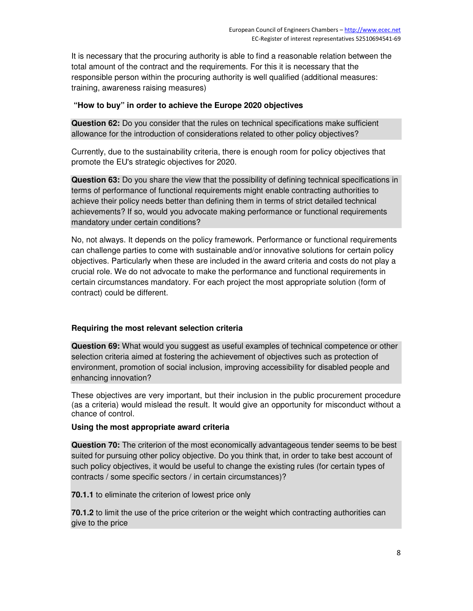It is necessary that the procuring authority is able to find a reasonable relation between the total amount of the contract and the requirements. For this it is necessary that the responsible person within the procuring authority is well qualified (additional measures: training, awareness raising measures)

## **"How to buy" in order to achieve the Europe 2020 objectives**

**Question 62:** Do you consider that the rules on technical specifications make sufficient allowance for the introduction of considerations related to other policy objectives?

Currently, due to the sustainability criteria, there is enough room for policy objectives that promote the EU's strategic objectives for 2020.

**Question 63:** Do you share the view that the possibility of defining technical specifications in terms of performance of functional requirements might enable contracting authorities to achieve their policy needs better than defining them in terms of strict detailed technical achievements? If so, would you advocate making performance or functional requirements mandatory under certain conditions?

No, not always. It depends on the policy framework. Performance or functional requirements can challenge parties to come with sustainable and/or innovative solutions for certain policy objectives. Particularly when these are included in the award criteria and costs do not play a crucial role. We do not advocate to make the performance and functional requirements in certain circumstances mandatory. For each project the most appropriate solution (form of contract) could be different.

# **Requiring the most relevant selection criteria**

**Question 69:** What would you suggest as useful examples of technical competence or other selection criteria aimed at fostering the achievement of objectives such as protection of environment, promotion of social inclusion, improving accessibility for disabled people and enhancing innovation?

These objectives are very important, but their inclusion in the public procurement procedure (as a criteria) would mislead the result. It would give an opportunity for misconduct without a chance of control.

## **Using the most appropriate award criteria**

**Question 70:** The criterion of the most economically advantageous tender seems to be best suited for pursuing other policy objective. Do you think that, in order to take best account of such policy objectives, it would be useful to change the existing rules (for certain types of contracts / some specific sectors / in certain circumstances)?

**70.1.1** to eliminate the criterion of lowest price only

**70.1.2** to limit the use of the price criterion or the weight which contracting authorities can give to the price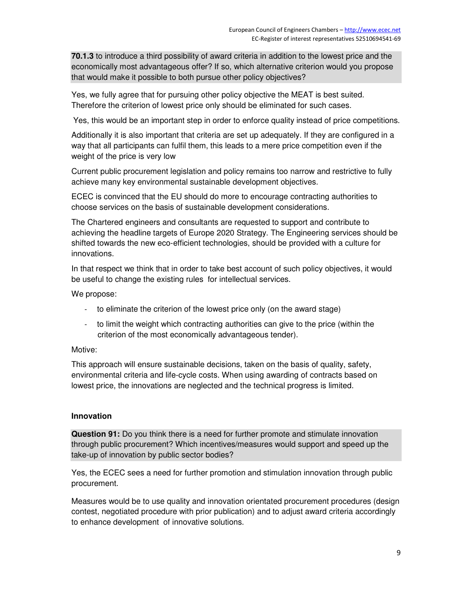**70.1.3** to introduce a third possibility of award criteria in addition to the lowest price and the economically most advantageous offer? If so, which alternative criterion would you propose that would make it possible to both pursue other policy objectives?

Yes, we fully agree that for pursuing other policy objective the MEAT is best suited. Therefore the criterion of lowest price only should be eliminated for such cases.

Yes, this would be an important step in order to enforce quality instead of price competitions.

Additionally it is also important that criteria are set up adequately. If they are configured in a way that all participants can fulfil them, this leads to a mere price competition even if the weight of the price is very low

Current public procurement legislation and policy remains too narrow and restrictive to fully achieve many key environmental sustainable development objectives.

ECEC is convinced that the EU should do more to encourage contracting authorities to choose services on the basis of sustainable development considerations.

The Chartered engineers and consultants are requested to support and contribute to achieving the headline targets of Europe 2020 Strategy. The Engineering services should be shifted towards the new eco-efficient technologies, should be provided with a culture for innovations.

In that respect we think that in order to take best account of such policy objectives, it would be useful to change the existing rules for intellectual services.

We propose:

- to eliminate the criterion of the lowest price only (on the award stage)
- to limit the weight which contracting authorities can give to the price (within the criterion of the most economically advantageous tender).

#### Motive:

This approach will ensure sustainable decisions, taken on the basis of quality, safety, environmental criteria and life-cycle costs. When using awarding of contracts based on lowest price, the innovations are neglected and the technical progress is limited.

#### **Innovation**

**Question 91:** Do you think there is a need for further promote and stimulate innovation through public procurement? Which incentives/measures would support and speed up the take-up of innovation by public sector bodies?

Yes, the ECEC sees a need for further promotion and stimulation innovation through public procurement.

Measures would be to use quality and innovation orientated procurement procedures (design contest, negotiated procedure with prior publication) and to adjust award criteria accordingly to enhance development of innovative solutions.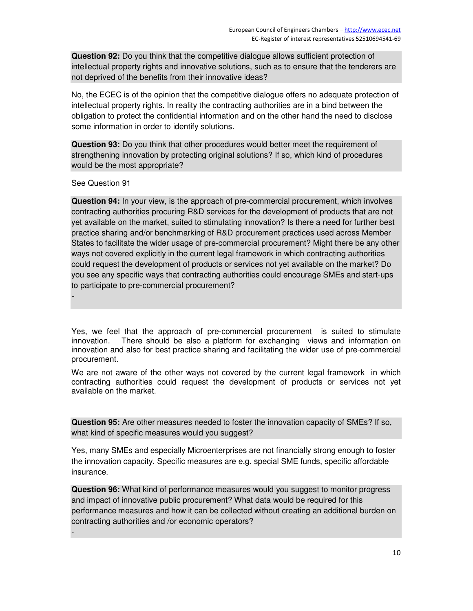**Question 92:** Do you think that the competitive dialogue allows sufficient protection of intellectual property rights and innovative solutions, such as to ensure that the tenderers are not deprived of the benefits from their innovative ideas?

No, the ECEC is of the opinion that the competitive dialogue offers no adequate protection of intellectual property rights. In reality the contracting authorities are in a bind between the obligation to protect the confidential information and on the other hand the need to disclose some information in order to identify solutions.

**Question 93:** Do you think that other procedures would better meet the requirement of strengthening innovation by protecting original solutions? If so, which kind of procedures would be the most appropriate?

See Question 91

*-* 

-

**Question 94:** In your view, is the approach of pre-commercial procurement, which involves contracting authorities procuring R&D services for the development of products that are not yet available on the market, suited to stimulating innovation? Is there a need for further best practice sharing and/or benchmarking of R&D procurement practices used across Member States to facilitate the wider usage of pre-commercial procurement? Might there be any other ways not covered explicitly in the current legal framework in which contracting authorities could request the development of products or services not yet available on the market? Do you see any specific ways that contracting authorities could encourage SMEs and start-ups to participate to pre-commercial procurement?

Yes, we feel that the approach of pre-commercial procurement is suited to stimulate innovation. There should be also a platform for exchanging views and information on innovation and also for best practice sharing and facilitating the wider use of pre-commercial procurement.

We are not aware of the other ways not covered by the current legal framework in which contracting authorities could request the development of products or services not yet available on the market.

**Question 95:** Are other measures needed to foster the innovation capacity of SMEs? If so, what kind of specific measures would you suggest?

Yes, many SMEs and especially Microenterprises are not financially strong enough to foster the innovation capacity. Specific measures are e.g. special SME funds, specific affordable insurance.

**Question 96:** What kind of performance measures would you suggest to monitor progress and impact of innovative public procurement? What data would be required for this performance measures and how it can be collected without creating an additional burden on contracting authorities and /or economic operators?